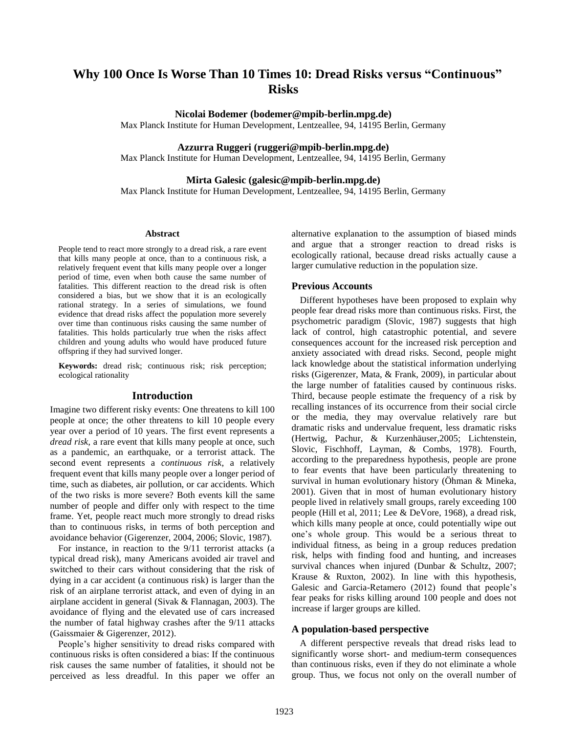# **Why 100 Once Is Worse Than 10 Times 10: Dread Risks versus "Continuous" Risks**

**Nicolai Bodemer (bodemer@mpib-berlin.mpg.de)**

Max Planck Institute for Human Development, Lentzeallee, 94, 14195 Berlin, Germany

**Azzurra Ruggeri (ruggeri@mpib-berlin.mpg.de)**

Max Planck Institute for Human Development, Lentzeallee, 94, 14195 Berlin, Germany

### **Mirta Galesic (galesic@mpib-berlin.mpg.de)**

Max Planck Institute for Human Development, Lentzeallee, 94, 14195 Berlin, Germany

#### **Abstract**

People tend to react more strongly to a dread risk, a rare event that kills many people at once, than to a continuous risk, a relatively frequent event that kills many people over a longer period of time, even when both cause the same number of fatalities. This different reaction to the dread risk is often considered a bias, but we show that it is an ecologically rational strategy. In a series of simulations, we found evidence that dread risks affect the population more severely over time than continuous risks causing the same number of fatalities. This holds particularly true when the risks affect children and young adults who would have produced future offspring if they had survived longer.

**Keywords:** dread risk; continuous risk; risk perception; ecological rationality

## **Introduction**

Imagine two different risky events: One threatens to kill 100 people at once; the other threatens to kill 10 people every year over a period of 10 years. The first event represents a *dread risk,* a rare event that kills many people at once, such as a pandemic, an earthquake, or a terrorist attack. The second event represents a *continuous risk*, a relatively frequent event that kills many people over a longer period of time, such as diabetes, air pollution, or car accidents. Which of the two risks is more severe? Both events kill the same number of people and differ only with respect to the time frame. Yet, people react much more strongly to dread risks than to continuous risks, in terms of both perception and avoidance behavior (Gigerenzer, 2004, 2006; Slovic, 1987).

For instance, in reaction to the 9/11 terrorist attacks (a typical dread risk), many Americans avoided air travel and switched to their cars without considering that the risk of dying in a car accident (a continuous risk) is larger than the risk of an airplane terrorist attack, and even of dying in an airplane accident in general (Sivak & Flannagan, 2003). The avoidance of flying and the elevated use of cars increased the number of fatal highway crashes after the 9/11 attacks (Gaissmaier & Gigerenzer, 2012).

People's higher sensitivity to dread risks compared with continuous risks is often considered a bias: If the continuous risk causes the same number of fatalities, it should not be perceived as less dreadful. In this paper we offer an alternative explanation to the assumption of biased minds and argue that a stronger reaction to dread risks is ecologically rational, because dread risks actually cause a larger cumulative reduction in the population size.

## **Previous Accounts**

Different hypotheses have been proposed to explain why people fear dread risks more than continuous risks. First, the psychometric paradigm (Slovic, 1987) suggests that high lack of control, high catastrophic potential, and severe consequences account for the increased risk perception and anxiety associated with dread risks. Second, people might lack knowledge about the statistical information underlying risks (Gigerenzer, Mata, & Frank, 2009), in particular about the large number of fatalities caused by continuous risks. Third, because people estimate the frequency of a risk by recalling instances of its occurrence from their social circle or the media, they may overvalue relatively rare but dramatic risks and undervalue frequent, less dramatic risks (Hertwig, Pachur, & Kurzenhäuser,2005; Lichtenstein, Slovic, Fischhoff, Layman, & Combs, 1978). Fourth, according to the preparedness hypothesis, people are prone to fear events that have been particularly threatening to survival in human evolutionary history (Öhman & Mineka, 2001). Given that in most of human evolutionary history people lived in relatively small groups, rarely exceeding 100 people (Hill et al, 2011; Lee & DeVore, 1968), a dread risk, which kills many people at once, could potentially wipe out one's whole group. This would be a serious threat to individual fitness, as being in a group reduces predation risk, helps with finding food and hunting, and increases survival chances when injured (Dunbar & Schultz, 2007; Krause & Ruxton, 2002). In line with this hypothesis, Galesic and Garcia-Retamero (2012) found that people's fear peaks for risks killing around 100 people and does not increase if larger groups are killed.

## **A population-based perspective**

A different perspective reveals that dread risks lead to significantly worse short- and medium-term consequences than continuous risks, even if they do not eliminate a whole group. Thus, we focus not only on the overall number of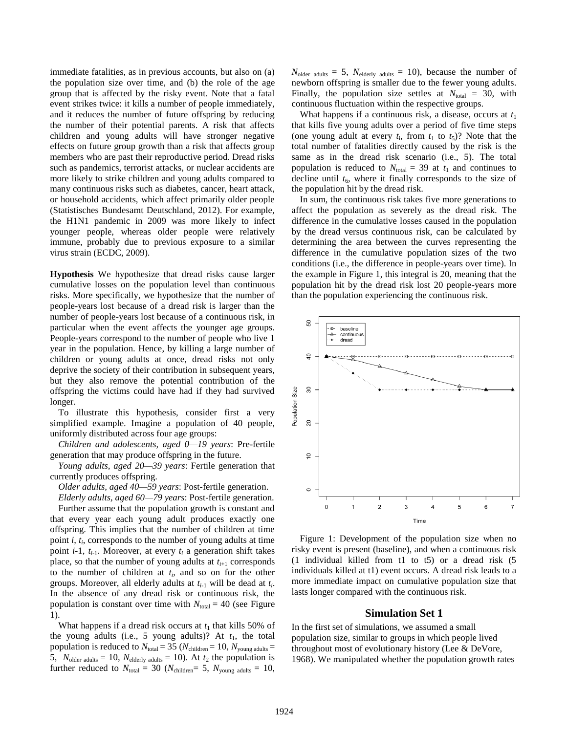immediate fatalities, as in previous accounts, but also on (a) the population size over time, and (b) the role of the age group that is affected by the risky event. Note that a fatal event strikes twice: it kills a number of people immediately, and it reduces the number of future offspring by reducing the number of their potential parents. A risk that affects children and young adults will have stronger negative effects on future group growth than a risk that affects group members who are past their reproductive period. Dread risks such as pandemics, terrorist attacks, or nuclear accidents are more likely to strike children and young adults compared to many continuous risks such as diabetes, cancer, heart attack, or household accidents, which affect primarily older people (Statistisches Bundesamt Deutschland, 2012). For example, the H1N1 pandemic in 2009 was more likely to infect younger people, whereas older people were relatively immune, probably due to previous exposure to a similar virus strain (ECDC, 2009).

**Hypothesis** We hypothesize that dread risks cause larger cumulative losses on the population level than continuous risks. More specifically, we hypothesize that the number of people-years lost because of a dread risk is larger than the number of people-years lost because of a continuous risk, in particular when the event affects the younger age groups. People-years correspond to the number of people who live 1 year in the population. Hence, by killing a large number of children or young adults at once, dread risks not only deprive the society of their contribution in subsequent years, but they also remove the potential contribution of the offspring the victims could have had if they had survived longer.

To illustrate this hypothesis, consider first a very simplified example. Imagine a population of 40 people, uniformly distributed across four age groups:

*Children and adolescents, aged 0—19 years*: Pre-fertile generation that may produce offspring in the future.

*Young adults, aged 20—39 years*: Fertile generation that currently produces offspring.

*Older adults, aged 40—59 years*: Post-fertile generation. *Elderly adults, aged 60—79 years*: Post-fertile generation.

Further assume that the population growth is constant and that every year each young adult produces exactly one offspring. This implies that the number of children at time point *i*, *t<sup>i</sup>* , corresponds to the number of young adults at time point *i*-1,  $t_{i-1}$ . Moreover, at every  $t_i$  a generation shift takes place, so that the number of young adults at  $t_{i+1}$  corresponds to the number of children at *t<sup>i</sup>* , and so on for the other groups. Moreover, all elderly adults at *ti*-1 will be dead at *t<sup>i</sup>* . In the absence of any dread risk or continuous risk, the population is constant over time with  $N_{total} = 40$  (see Figure 1).

What happens if a dread risk occurs at  $t_1$  that kills 50% of the young adults (i.e., 5 young adults)? At  $t_1$ , the total population is reduced to  $N_{\text{total}} = 35$  ( $N_{\text{children}} = 10$ ,  $N_{\text{voung adults}} =$ 5,  $N_{\text{older adults}} = 10$ ,  $N_{\text{elderly adults}} = 10$ ). At  $t_2$  the population is further reduced to  $N_{total} = 30$  ( $N_{children} = 5$ ,  $N_{volume}$  adults = 10,  $N_{\text{older adults}} = 5$ ,  $N_{\text{elderlv adults}} = 10$ , because the number of newborn offspring is smaller due to the fewer young adults. Finally, the population size settles at  $N_{total} = 30$ , with continuous fluctuation within the respective groups.

What happens if a continuous risk, a disease, occurs at  $t_1$ that kills five young adults over a period of five time steps (one young adult at every  $t_i$ , from  $t_1$  to  $t_5$ )? Note that the total number of fatalities directly caused by the risk is the same as in the dread risk scenario (i.e., 5). The total population is reduced to  $N_{\text{total}} = 39$  at  $t_1$  and continues to decline until  $t_6$ , where it finally corresponds to the size of the population hit by the dread risk.

In sum, the continuous risk takes five more generations to affect the population as severely as the dread risk. The difference in the cumulative losses caused in the population by the dread versus continuous risk, can be calculated by determining the area between the curves representing the difference in the cumulative population sizes of the two conditions (i.e., the difference in people-years over time). In the example in Figure 1, this integral is 20, meaning that the population hit by the dread risk lost 20 people-years more than the population experiencing the continuous risk.



Figure 1: Development of the population size when no risky event is present (baseline), and when a continuous risk (1 individual killed from t1 to t5) or a dread risk (5 individuals killed at t1) event occurs. A dread risk leads to a more immediate impact on cumulative population size that lasts longer compared with the continuous risk.

## **Simulation Set 1**

In the first set of simulations, we assumed a small population size, similar to groups in which people lived throughout most of evolutionary history (Lee & DeVore, 1968). We manipulated whether the population growth rates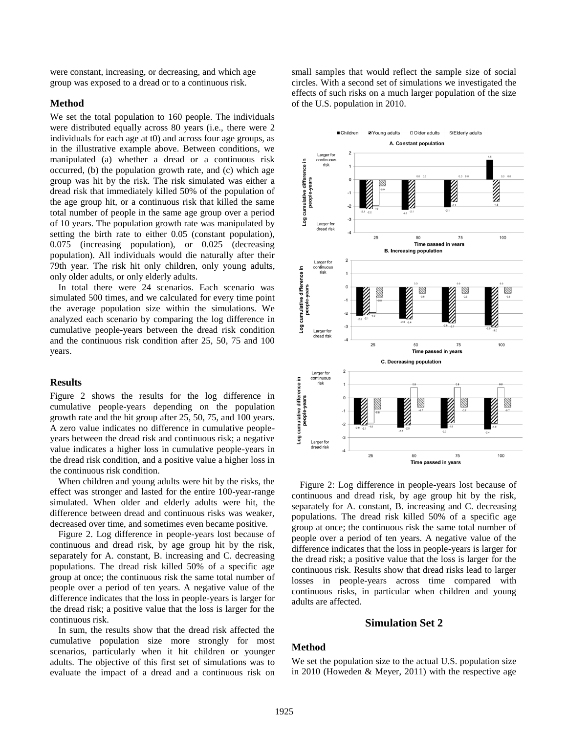were constant, increasing, or decreasing, and which age group was exposed to a dread or to a continuous risk.

#### **Method**

We set the total population to 160 people. The individuals were distributed equally across 80 years (i.e., there were 2 individuals for each age at t0) and across four age groups, as in the illustrative example above. Between conditions, we manipulated (a) whether a dread or a continuous risk occurred, (b) the population growth rate, and (c) which age group was hit by the risk. The risk simulated was either a dread risk that immediately killed 50% of the population of the age group hit, or a continuous risk that killed the same total number of people in the same age group over a period of 10 years. The population growth rate was manipulated by setting the birth rate to either 0.05 (constant population), 0.075 (increasing population), or 0.025 (decreasing population). All individuals would die naturally after their 79th year. The risk hit only children, only young adults, only older adults, or only elderly adults.

In total there were 24 scenarios. Each scenario was simulated 500 times, and we calculated for every time point the average population size within the simulations. We analyzed each scenario by comparing the log difference in cumulative people-years between the dread risk condition and the continuous risk condition after 25, 50, 75 and 100 years.

#### **Results**

Figure 2 shows the results for the log difference in cumulative people-years depending on the population growth rate and the hit group after 25, 50, 75, and 100 years. A zero value indicates no difference in cumulative peopleyears between the dread risk and continuous risk; a negative value indicates a higher loss in cumulative people-years in the dread risk condition, and a positive value a higher loss in the continuous risk condition.

When children and young adults were hit by the risks, the effect was stronger and lasted for the entire 100-year-range simulated. When older and elderly adults were hit, the difference between dread and continuous risks was weaker, decreased over time, and sometimes even became positive.

Figure 2. Log difference in people-years lost because of continuous and dread risk, by age group hit by the risk, separately for A. constant, B. increasing and C. decreasing populations. The dread risk killed 50% of a specific age group at once; the continuous risk the same total number of people over a period of ten years. A negative value of the difference indicates that the loss in people-years is larger for the dread risk; a positive value that the loss is larger for the continuous risk.

In sum, the results show that the dread risk affected the cumulative population size more strongly for most scenarios, particularly when it hit children or younger adults. The objective of this first set of simulations was to evaluate the impact of a dread and a continuous risk on small samples that would reflect the sample size of social circles. With a second set of simulations we investigated the effects of such risks on a much larger population of the size of the U.S. population in 2010.



Figure 2: Log difference in people-years lost because of continuous and dread risk, by age group hit by the risk, separately for A. constant, B. increasing and C. decreasing populations. The dread risk killed 50% of a specific age group at once; the continuous risk the same total number of people over a period of ten years. A negative value of the difference indicates that the loss in people-years is larger for the dread risk; a positive value that the loss is larger for the continuous risk. Results show that dread risks lead to larger losses in people-years across time compared with continuous risks, in particular when children and young adults are affected.

## **Simulation Set 2**

## **Method**

We set the population size to the actual U.S. population size in 2010 (Howeden & Meyer, 2011) with the respective age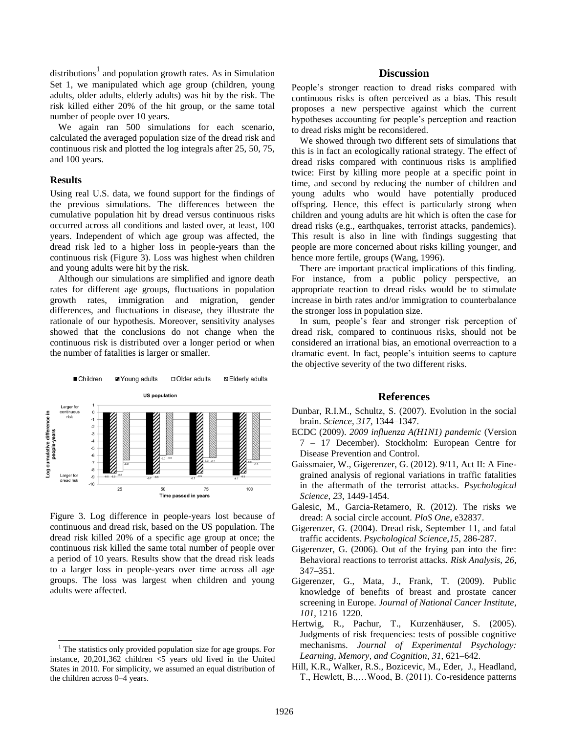distributions<sup>1</sup> and population growth rates. As in Simulation Set 1, we manipulated which age group (children, young adults, older adults, elderly adults) was hit by the risk. The risk killed either 20% of the hit group, or the same total number of people over 10 years.

We again ran 500 simulations for each scenario, calculated the averaged population size of the dread risk and continuous risk and plotted the log integrals after 25, 50, 75, and 100 years.

## **Results**

 $\overline{a}$ 

Using real U.S. data, we found support for the findings of the previous simulations. The differences between the cumulative population hit by dread versus continuous risks occurred across all conditions and lasted over, at least, 100 years. Independent of which age group was affected, the dread risk led to a higher loss in people-years than the continuous risk (Figure 3). Loss was highest when children and young adults were hit by the risk.

Although our simulations are simplified and ignore death rates for different age groups, fluctuations in population growth rates, immigration and migration, gender differences, and fluctuations in disease, they illustrate the rationale of our hypothesis. Moreover, sensitivity analyses showed that the conclusions do not change when the continuous risk is distributed over a longer period or when the number of fatalities is larger or smaller.



Figure 3. Log difference in people-years lost because of continuous and dread risk, based on the US population. The dread risk killed 20% of a specific age group at once; the continuous risk killed the same total number of people over a period of 10 years. Results show that the dread risk leads to a larger loss in people-years over time across all age groups. The loss was largest when children and young adults were affected.

## **Discussion**

People's stronger reaction to dread risks compared with continuous risks is often perceived as a bias. This result proposes a new perspective against which the current hypotheses accounting for people's perception and reaction to dread risks might be reconsidered.

We showed through two different sets of simulations that this is in fact an ecologically rational strategy. The effect of dread risks compared with continuous risks is amplified twice: First by killing more people at a specific point in time, and second by reducing the number of children and young adults who would have potentially produced offspring. Hence, this effect is particularly strong when children and young adults are hit which is often the case for dread risks (e.g., earthquakes, terrorist attacks, pandemics). This result is also in line with findings suggesting that people are more concerned about risks killing younger, and hence more fertile, groups (Wang, 1996).

There are important practical implications of this finding. For instance, from a public policy perspective, an appropriate reaction to dread risks would be to stimulate increase in birth rates and/or immigration to counterbalance the stronger loss in population size.

In sum, people's fear and stronger risk perception of dread risk, compared to continuous risks, should not be considered an irrational bias, an emotional overreaction to a dramatic event. In fact, people's intuition seems to capture the objective severity of the two different risks.

## **References**

- Dunbar, R.I.M., Schultz, S. (2007). Evolution in the social brain. *Science*, *317*, 1344–1347.
- ECDC (2009). *2009 influenza A(H1N1) pandemic* (Version 7 – 17 December). Stockholm: European Centre for Disease Prevention and Control.
- Gaissmaier, W., Gigerenzer, G. (2012). 9/11, Act II: A Finegrained analysis of regional variations in traffic fatalities in the aftermath of the terrorist attacks. *Psychological Science*, *23*, 1449-1454.
- Galesic, M., Garcia-Retamero, R. (2012). The risks we dread: A social circle account. *PloS One*, e32837.
- Gigerenzer, G. (2004). Dread risk, September 11, and fatal traffic accidents. *Psychological Science*,*15*, 286-287.
- Gigerenzer, G. (2006). Out of the frying pan into the fire: Behavioral reactions to terrorist attacks. *Risk Analysis*, *26*, 347–351.
- Gigerenzer, G., Mata, J., Frank, T. (2009). Public knowledge of benefits of breast and prostate cancer screening in Europe. *Journal of National Cancer Institute*, *101*, 1216–1220.
- Hertwig, R., Pachur, T., Kurzenhäuser, S. (2005). Judgments of risk frequencies: tests of possible cognitive mechanisms. *Journal of Experimental Psychology: Learning, Memory, and Cognition*, *31*, 621–642.
- Hill, K.R., Walker, R.S., Bozicevic, M., Eder, J., Headland, T., Hewlett, B.,…Wood, B. (2011). Co-residence patterns

 $<sup>1</sup>$  The statistics only provided population size for age groups. For</sup> instance, 20,201,362 children <5 years old lived in the United States in 2010. For simplicity, we assumed an equal distribution of the children across 0–4 years.